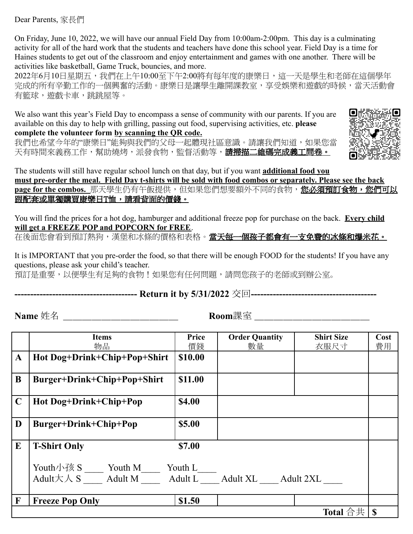Dear Parents, 家長們

On Friday, June 10, 2022, we will have our annual Field Day from 10:00am-2:00pm. This day is a culminating activity for all of the hard work that the students and teachers have done this school year. Field Day is a time for Haines students to get out of the classroom and enjoy entertainment and games with one another. There will be activities like basketball, Game Truck, bouncies, and more.

2022年6月10日星期五,我們在上午10:00至下午2:00將有每年度的康樂日,這一天是學生和老師在這個學年 完成的所有辛勤工作的一個興奮的活動。康樂日是讓學生離開課教室,享受娛樂和遊戲的時候,當天活動會 有籃球,遊戲卡車,跳跳屋等。

We also want this year's Field Day to encompass a sense of community with our parents. If you are available on this day to help with grilling, passing out food, supervising activities, etc. **please**

**complete the volunteer form by scanning the QR code.**

我們也希望今年的"康樂日"能夠與我們的父母一起體現社區意識。請讓我們知道,如果您當 天有時間來義務工作,幫助燒烤,派發食物,監督活動等,**請掃描二維碼完成義工問卷。** 



The students will still have regular school lunch on that day, but if you want **additional food you must pre-order the meal. Field Day t-shirts will be sold with food combos or separately. Please see the back** page for the combos. 那天學生仍有午飯提供, 但如果您們想要額外不同的食物, 您必**須預訂食物, 您們可以** 跟配套或單獨購買康樂日T恤,請看背面的價錢。

You will find the prices for a hot dog, hamburger and additional freeze pop for purchase on the back. **Every child will get a FREEZE POP and POPCORN for FREE**.

在後面您會看到預訂熱狗,漢堡和冰條的價格和表格。**當天每一個孩子都會有一支免費的冰條和爆米花。** 

It is IMPORTANT that you pre-order the food, so that there will be enough FOOD for the students! If you have any questions, please ask your child's teacher.

預訂是重要,以便學生有足夠的食物!如果您有任何問題,請問您孩子的老師或到辦公室。

## **--------------------------------------- Return it by 5/31/2022** 交回**----------------------------------------**

**Name** 姓名 \_\_\_\_\_\_\_\_\_\_\_\_\_\_\_\_\_\_\_\_\_\_\_\_ Room課室 \_\_\_\_\_\_\_\_\_\_\_\_\_\_\_\_\_\_\_\_\_\_\_\_\_

|              | <b>Items</b>                                             | Price   | <b>Order Quantity</b>      | <b>Shirt Size</b> | Cost        |
|--------------|----------------------------------------------------------|---------|----------------------------|-------------------|-------------|
|              | 物品                                                       | 價錢      | 數量                         | 衣服尺寸              | 費用          |
|              |                                                          |         |                            |                   |             |
| $\mathbf A$  | Hot Dog+Drink+Chip+Pop+Shirt                             | \$10.00 |                            |                   |             |
|              |                                                          |         |                            |                   |             |
|              |                                                          |         |                            |                   |             |
| B            | Burger+Drink+Chip+Pop+Shirt                              | \$11.00 |                            |                   |             |
|              |                                                          |         |                            |                   |             |
|              |                                                          |         |                            |                   |             |
| $\mathbf C$  | Hot Dog+Drink+Chip+Pop                                   | \$4.00  |                            |                   |             |
|              |                                                          |         |                            |                   |             |
|              |                                                          |         |                            |                   |             |
| D            | Burger+Drink+Chip+Pop                                    | \$5.00  |                            |                   |             |
|              |                                                          |         |                            |                   |             |
|              |                                                          |         |                            |                   |             |
| E            | <b>T-Shirt Only</b>                                      | \$7.00  |                            |                   |             |
|              |                                                          |         |                            |                   |             |
|              |                                                          |         |                            |                   |             |
|              | Youth小孩 S Youth M                                        | Youth L |                            |                   |             |
|              |                                                          |         |                            |                   |             |
|              | $\text{Adult} \nmid \mathcal{K} \wedge \text{S}$ Adult M |         | Adult L Adult XL Adult 2XL |                   |             |
|              |                                                          |         |                            |                   |             |
|              |                                                          |         |                            |                   |             |
| $\mathbf{F}$ | <b>Freeze Pop Only</b>                                   | \$1.50  |                            |                   |             |
|              |                                                          |         |                            |                   |             |
|              |                                                          |         |                            | <b>Total</b> 合共   | $\mathbf S$ |